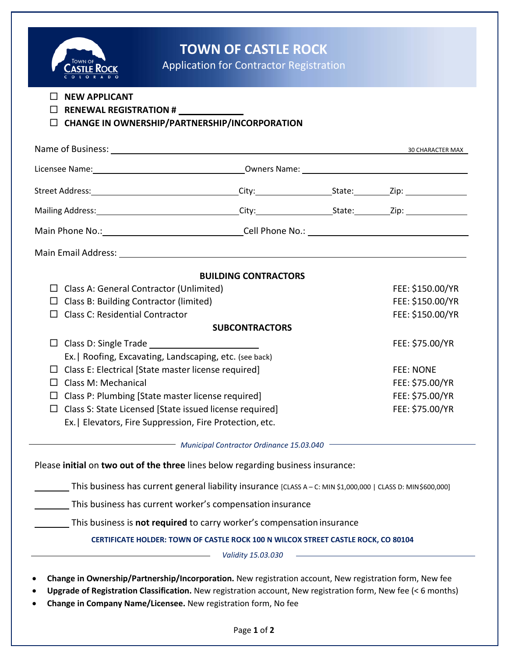

# **TOWN OF CASTLE ROCK**

Application for Contractor Registration

- **NEW APPLICANT**
- **RENEWAL REGISTRATION #** \_\_\_

#### **CHANGE IN OWNERSHIP/PARTNERSHIP/INCORPORATION**

| Name of Business: Universe of Business: Universe of Business: Universe of Business: Universe of Business: Universe of Business of Business: Universe of Business: Universe of Business of Business of Business of Business of  |                             |  | 30 CHARACTER MAX |
|--------------------------------------------------------------------------------------------------------------------------------------------------------------------------------------------------------------------------------|-----------------------------|--|------------------|
|                                                                                                                                                                                                                                |                             |  |                  |
|                                                                                                                                                                                                                                |                             |  |                  |
| Mailing Address: 1988 and 2010 City: City: City: City: City: City: City: Charles 21p: 21p:                                                                                                                                     |                             |  |                  |
| Main Phone No.: Cell Phone No.: Cell Phone No.:                                                                                                                                                                                |                             |  |                  |
| Main Email Address: National According to the Main Email Address: National According to the Main According to the Main According to the Main According to the Main According to the Main According to the Main According to th |                             |  |                  |
|                                                                                                                                                                                                                                | <b>BUILDING CONTRACTORS</b> |  |                  |
| $\Box$ Class A: General Contractor (Unlimited)                                                                                                                                                                                 |                             |  | FEE: \$150.00/YR |
| $\Box$ Class B: Building Contractor (limited)                                                                                                                                                                                  |                             |  | FEE: \$150.00/YR |
| Class C: Residential Contractor<br>П                                                                                                                                                                                           |                             |  | FEE: \$150.00/YR |
| <b>SUBCONTRACTORS</b>                                                                                                                                                                                                          |                             |  |                  |
|                                                                                                                                                                                                                                |                             |  | FEE: \$75.00/YR  |
| Ex.   Roofing, Excavating, Landscaping, etc. (see back)                                                                                                                                                                        |                             |  |                  |
| $\Box$ Class E: Electrical [State master license required]                                                                                                                                                                     |                             |  | <b>FEE: NONE</b> |
| $\Box$ Class M: Mechanical                                                                                                                                                                                                     |                             |  | FEE: \$75.00/YR  |
| $\Box$ Class P: Plumbing [State master license required]                                                                                                                                                                       |                             |  | FEE: \$75.00/YR  |
| $\Box$ Class S: State Licensed [State issued license required]                                                                                                                                                                 |                             |  | FEE: \$75.00/YR  |
| Ex.   Elevators, Fire Suppression, Fire Protection, etc.                                                                                                                                                                       |                             |  |                  |
| Municipal Contractor Ordinance 15.03.040                                                                                                                                                                                       |                             |  |                  |
| Please initial on two out of the three lines below regarding business insurance:                                                                                                                                               |                             |  |                  |
| This business has current general liability insurance [CLASS A - C: MIN \$1,000,000   CLASS D: MIN\$600,000]                                                                                                                   |                             |  |                  |
| This business has current worker's compensation insurance                                                                                                                                                                      |                             |  |                  |
| This business is not required to carry worker's compensation insurance                                                                                                                                                         |                             |  |                  |
| CERTIFICATE HOLDER: TOWN OF CASTLE ROCK 100 N WILCOX STREET CASTLE ROCK, CO 80104                                                                                                                                              |                             |  |                  |

*Validity 15.03.030*

- **Change in Ownership/Partnership/Incorporation.** New registration account, New registration form, New fee
- **Upgrade of Registration Classification.** New registration account, New registration form, New fee (< 6 months)
- **Change in Company Name/Licensee.** New registration form, No fee